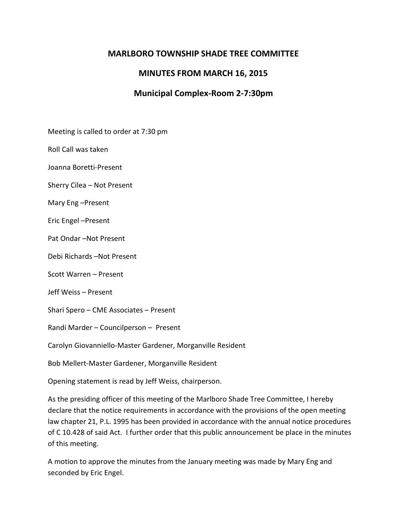### **MARLBORO TOWNSHIP SHADE TREE COMMITTEE**

# **MINUTES FROM MARCH 16, 2015**

## **Municipal Complex-Room 2-7:30pm**

Meeting is called to order at 7:30 pm

Roll Call was taken

Joanna Boretti-Present

Sherry Cilea – Not Present

Mary Eng –Present

Eric Engel –Present

Pat Ondar –Not Present

Debi Richards –Not Present

Scott Warren – Present

Jeff Weiss – Present

Shari Spero – CME Associates – Present

Randi Marder – Councilperson – Present

Carolyn Giovanniello-Master Gardener, Morganville Resident

Bob Mellert-Master Gardener, Morganville Resident

Opening statement is read by Jeff Weiss, chairperson.

As the presiding officer of this meeting of the Marlboro Shade Tree Committee, I hereby declare that the notice requirements in accordance with the provisions of the open meeting law chapter 21, P.L. 1995 has been provided in accordance with the annual notice procedures of C 10.428 of said Act. I further order that this public announcement be place in the minutes of this meeting.

A motion to approve the minutes from the January meeting was made by Mary Eng and seconded by Eric Engel.